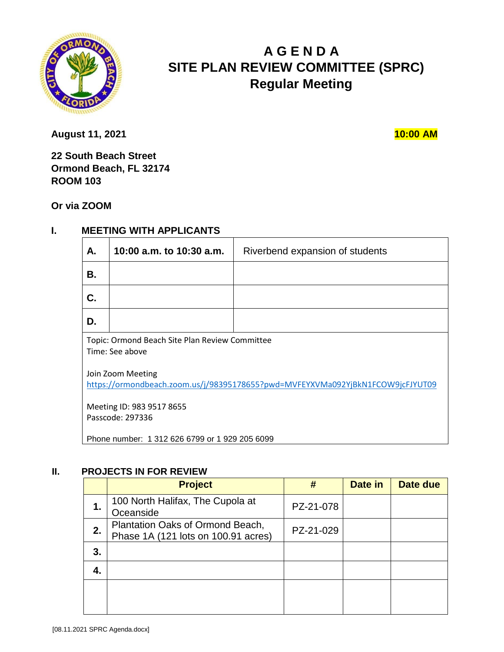

# **A G E N D A SITE PLAN REVIEW COMMITTEE (SPRC) Regular Meeting**

**August 11, 2021 10:00 AM** 

**22 South Beach Street Ormond Beach, FL 32174 ROOM 103** 

**Or via ZOOM**

# **I. MEETING WITH APPLICANTS**

| А.                                                                                                  | 10:00 a.m. to 10:30 a.m. | Riverbend expansion of students |  |  |
|-----------------------------------------------------------------------------------------------------|--------------------------|---------------------------------|--|--|
| В.                                                                                                  |                          |                                 |  |  |
| C.                                                                                                  |                          |                                 |  |  |
| D.                                                                                                  |                          |                                 |  |  |
| Topic: Ormond Beach Site Plan Review Committee<br>Time: See above                                   |                          |                                 |  |  |
| Join Zoom Meeting<br>https://ormondbeach.zoom.us/j/98395178655?pwd=MVFEYXVMa092YjBkN1FCOW9jcFJYUT09 |                          |                                 |  |  |
| Meeting ID: 983 9517 8655<br>Passcode: 297336                                                       |                          |                                 |  |  |
| Phone number: 1 312 626 6799 or 1 929 205 6099                                                      |                          |                                 |  |  |

#### **II. PROJECTS IN FOR REVIEW**

|    | <b>Project</b>                                                          | #         | Date in | Date due |
|----|-------------------------------------------------------------------------|-----------|---------|----------|
| 1. | 100 North Halifax, The Cupola at<br>Oceanside                           | PZ-21-078 |         |          |
| 2. | Plantation Oaks of Ormond Beach,<br>Phase 1A (121 lots on 100.91 acres) | PZ-21-029 |         |          |
| 3. |                                                                         |           |         |          |
| 4. |                                                                         |           |         |          |
|    |                                                                         |           |         |          |
|    |                                                                         |           |         |          |